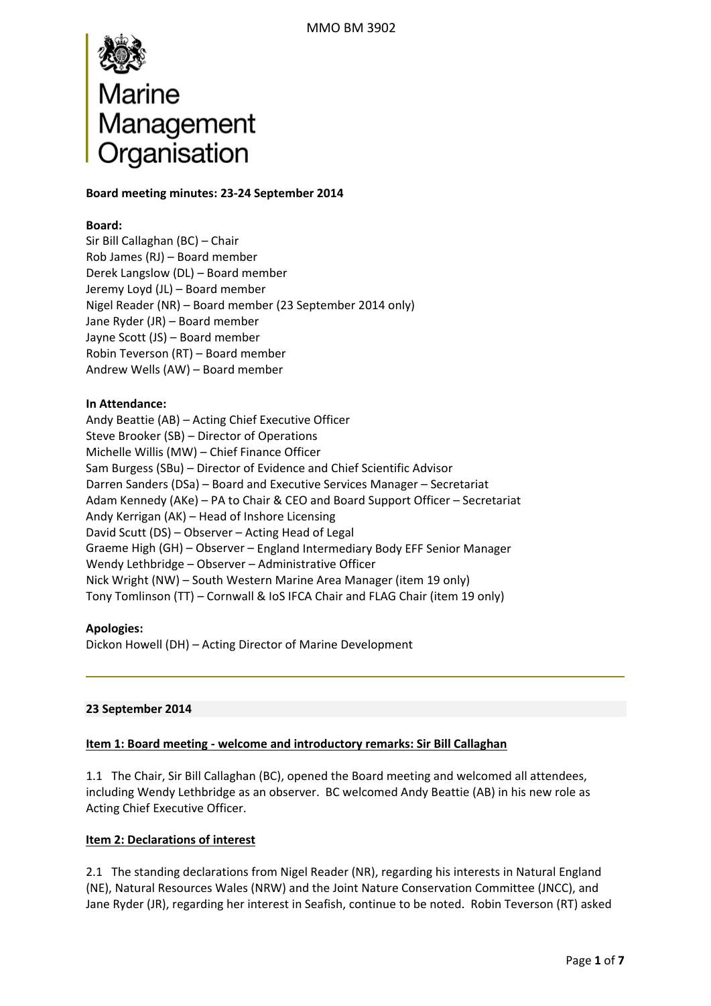

## **Board meeting minutes: 23‐24 September 2014**

### **Board:**

Sir Bill Callaghan (BC) – Chair Rob James (RJ) – Board member Derek Langslow (DL) – Board member Jeremy Loyd (JL) – Board member Nigel Reader (NR) – Board member (23 September 2014 only) Jane Ryder (JR) – Board member Jayne Scott (JS) – Board member Robin Teverson (RT) – Board member Andrew Wells (AW) – Board member

# **In Attendance:**

Andy Beattie (AB) – Acting Chief Executive Officer Steve Brooker (SB) – Director of Operations Michelle Willis (MW) – Chief Finance Officer Sam Burgess (SBu) – Director of Evidence and Chief Scientific Advisor Darren Sanders (DSa) – Board and Executive Services Manager – Secretariat Adam Kennedy (AKe) – PA to Chair & CEO and Board Support Officer – Secretariat Andy Kerrigan (AK) – Head of Inshore Licensing David Scutt (DS) – Observer – Acting Head of Legal Graeme High (GH) – Observer – England Intermediary Body EFF Senior Manager Wendy Lethbridge – Observer – Administrative Officer Nick Wright (NW) – South Western Marine Area Manager (item 19 only) Tony Tomlinson (TT) – Cornwall & IoS IFCA Chair and FLAG Chair (item 19 only)

### **Apologies:**

Dickon Howell (DH) – Acting Director of Marine Development

### **23 September 2014**

### **Item 1: Board meeting ‐ welcome and introductory remarks: Sir Bill Callaghan**

1.1 The Chair, Sir Bill Callaghan (BC), opened the Board meeting and welcomed all attendees, including Wendy Lethbridge as an observer. BC welcomed Andy Beattie (AB) in his new role as Acting Chief Executive Officer.

### **Item 2: Declarations of interest**

2.1 The standing declarations from Nigel Reader (NR), regarding his interests in Natural England (NE), Natural Resources Wales (NRW) and the Joint Nature Conservation Committee (JNCC), and Jane Ryder (JR), regarding her interest in Seafish, continue to be noted. Robin Teverson (RT) asked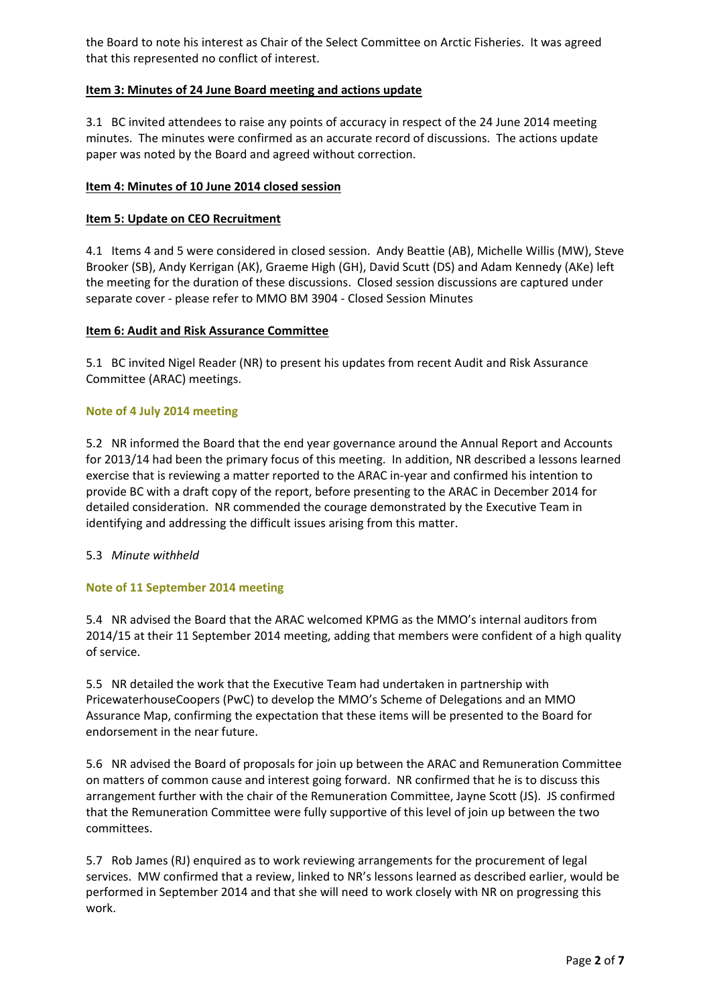the Board to note his interest as Chair of the Select Committee on Arctic Fisheries. It was agreed that this represented no conflict of interest.

# **Item 3: Minutes of 24 June Board meeting and actions update**

3.1 BC invited attendees to raise any points of accuracy in respect of the 24 June 2014 meeting minutes. The minutes were confirmed as an accurate record of discussions. The actions update paper was noted by the Board and agreed without correction.

# **Item 4: Minutes of 10 June 2014 closed session**

# **Item 5: Update on CEO Recruitment**

4.1 Items 4 and 5 were considered in closed session. Andy Beattie (AB), Michelle Willis (MW), Steve Brooker (SB), Andy Kerrigan (AK), Graeme High (GH), David Scutt (DS) and Adam Kennedy (AKe) left the meeting for the duration of these discussions. Closed session discussions are captured under separate cover ‐ please refer to MMO BM 3904 ‐ Closed Session Minutes

### **Item 6: Audit and Risk Assurance Committee**

5.1 BC invited Nigel Reader (NR) to present his updates from recent Audit and Risk Assurance Committee (ARAC) meetings.

# **Note of 4 July 2014 meeting**

5.2 NR informed the Board that the end year governance around the Annual Report and Accounts for 2013/14 had been the primary focus of this meeting. In addition, NR described a lessons learned exercise that is reviewing a matter reported to the ARAC in‐year and confirmed his intention to provide BC with a draft copy of the report, before presenting to the ARAC in December 2014 for detailed consideration. NR commended the courage demonstrated by the Executive Team in identifying and addressing the difficult issues arising from this matter.

### 5.3 *Minute withheld*

### **Note of 11 September 2014 meeting**

5.4 NR advised the Board that the ARAC welcomed KPMG as the MMO's internal auditors from 2014/15 at their 11 September 2014 meeting, adding that members were confident of a high quality of service.

5.5 NR detailed the work that the Executive Team had undertaken in partnership with PricewaterhouseCoopers (PwC) to develop the MMO's Scheme of Delegations and an MMO Assurance Map, confirming the expectation that these items will be presented to the Board for endorsement in the near future.

5.6 NR advised the Board of proposals for join up between the ARAC and Remuneration Committee on matters of common cause and interest going forward. NR confirmed that he is to discuss this arrangement further with the chair of the Remuneration Committee, Jayne Scott (JS). JS confirmed that the Remuneration Committee were fully supportive of this level of join up between the two committees.

5.7 Rob James (RJ) enquired as to work reviewing arrangements for the procurement of legal services. MW confirmed that a review, linked to NR's lessons learned as described earlier, would be performed in September 2014 and that she will need to work closely with NR on progressing this work.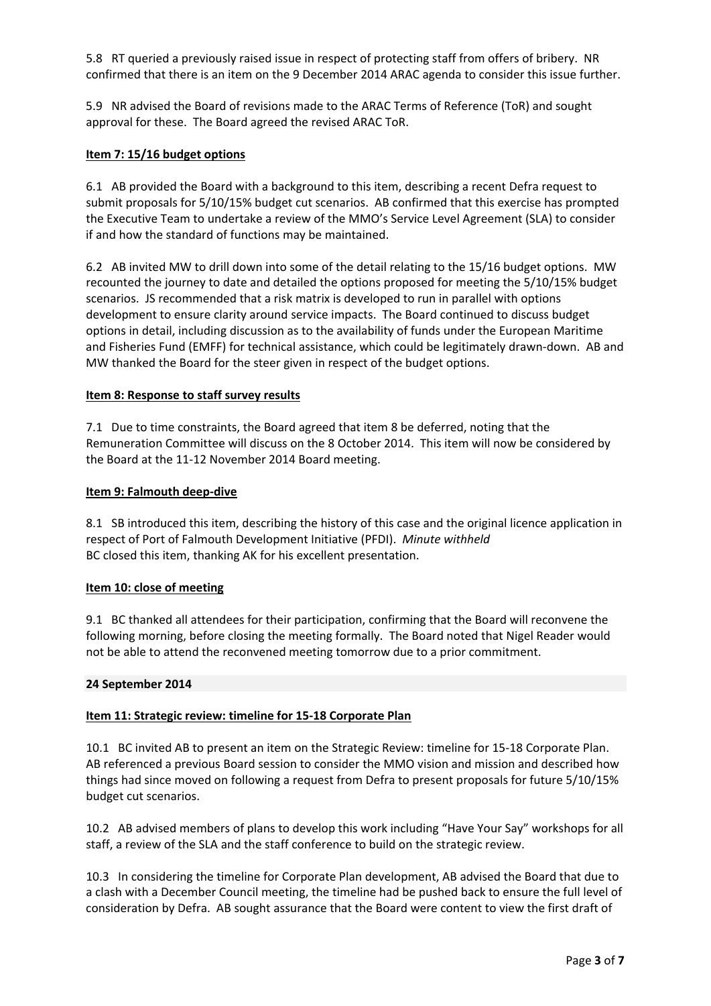5.8 RT queried a previously raised issue in respect of protecting staff from offers of bribery. NR confirmed that there is an item on the 9 December 2014 ARAC agenda to consider this issue further.

5.9 NR advised the Board of revisions made to the ARAC Terms of Reference (ToR) and sought approval for these. The Board agreed the revised ARAC ToR.

### **Item 7: 15/16 budget options**

6.1 AB provided the Board with a background to this item, describing a recent Defra request to submit proposals for 5/10/15% budget cut scenarios. AB confirmed that this exercise has prompted the Executive Team to undertake a review of the MMO's Service Level Agreement (SLA) to consider if and how the standard of functions may be maintained.

6.2 AB invited MW to drill down into some of the detail relating to the 15/16 budget options. MW recounted the journey to date and detailed the options proposed for meeting the 5/10/15% budget scenarios. JS recommended that a risk matrix is developed to run in parallel with options development to ensure clarity around service impacts. The Board continued to discuss budget options in detail, including discussion as to the availability of funds under the European Maritime and Fisheries Fund (EMFF) for technical assistance, which could be legitimately drawn‐down. AB and MW thanked the Board for the steer given in respect of the budget options.

### **Item 8: Response to staff survey results**

7.1 Due to time constraints, the Board agreed that item 8 be deferred, noting that the Remuneration Committee will discuss on the 8 October 2014. This item will now be considered by the Board at the 11‐12 November 2014 Board meeting.

### **Item 9: Falmouth deep‐dive**

8.1 SB introduced this item, describing the history of this case and the original licence application in respect of Port of Falmouth Development Initiative (PFDI). *Minute withheld* BC closed this item, thanking AK for his excellent presentation.

### **Item 10: close of meeting**

9.1 BC thanked all attendees for their participation, confirming that the Board will reconvene the following morning, before closing the meeting formally. The Board noted that Nigel Reader would not be able to attend the reconvened meeting tomorrow due to a prior commitment.

### **24 September 2014**

### **Item 11: Strategic review: timeline for 15‐18 Corporate Plan**

10.1 BC invited AB to present an item on the Strategic Review: timeline for 15-18 Corporate Plan. AB referenced a previous Board session to consider the MMO vision and mission and described how things had since moved on following a request from Defra to present proposals for future 5/10/15% budget cut scenarios.

10.2 AB advised members of plans to develop this work including "Have Your Say" workshops for all staff, a review of the SLA and the staff conference to build on the strategic review.

10.3 In considering the timeline for Corporate Plan development, AB advised the Board that due to a clash with a December Council meeting, the timeline had be pushed back to ensure the full level of consideration by Defra. AB sought assurance that the Board were content to view the first draft of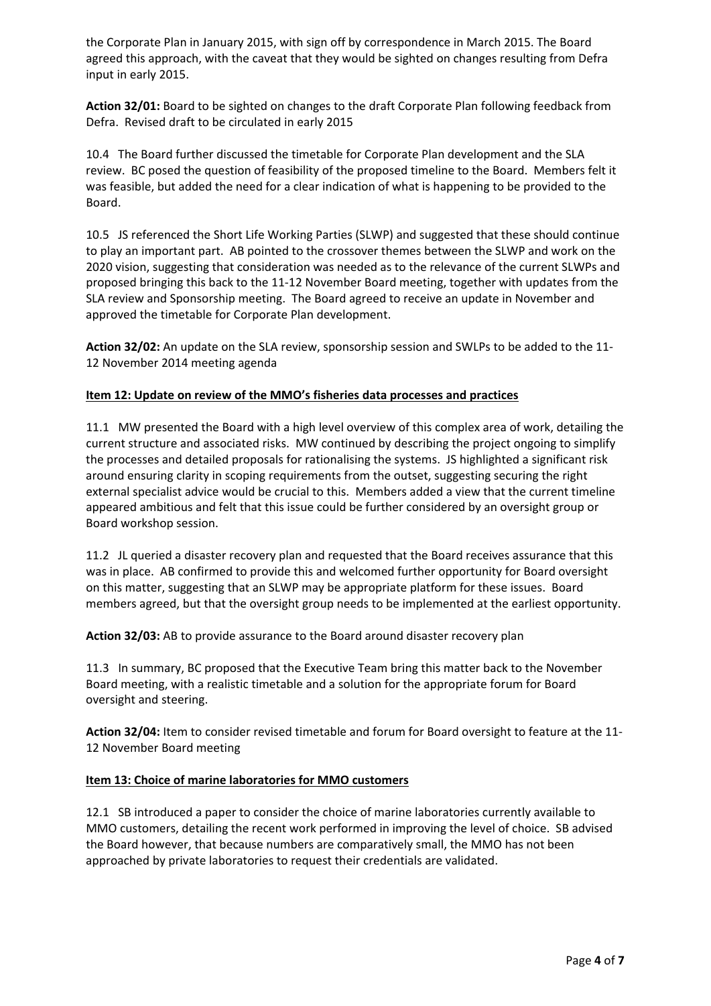the Corporate Plan in January 2015, with sign off by correspondence in March 2015. The Board agreed this approach, with the caveat that they would be sighted on changes resulting from Defra input in early 2015.

**Action 32/01:** Board to be sighted on changes to the draft Corporate Plan following feedback from Defra. Revised draft to be circulated in early 2015

10.4 The Board further discussed the timetable for Corporate Plan development and the SLA review. BC posed the question of feasibility of the proposed timeline to the Board. Members felt it was feasible, but added the need for a clear indication of what is happening to be provided to the Board.

10.5 JS referenced the Short Life Working Parties (SLWP) and suggested that these should continue to play an important part. AB pointed to the crossover themes between the SLWP and work on the 2020 vision, suggesting that consideration was needed as to the relevance of the current SLWPs and proposed bringing this back to the 11‐12 November Board meeting, together with updates from the SLA review and Sponsorship meeting. The Board agreed to receive an update in November and approved the timetable for Corporate Plan development.

**Action 32/02:** An update on the SLA review, sponsorship session and SWLPs to be added to the 11‐ 12 November 2014 meeting agenda

# **Item 12: Update on review of the MMO's fisheries data processes and practices**

11.1 MW presented the Board with a high level overview of this complex area of work, detailing the current structure and associated risks. MW continued by describing the project ongoing to simplify the processes and detailed proposals for rationalising the systems. JS highlighted a significant risk around ensuring clarity in scoping requirements from the outset, suggesting securing the right external specialist advice would be crucial to this. Members added a view that the current timeline appeared ambitious and felt that this issue could be further considered by an oversight group or Board workshop session.

11.2 JL queried a disaster recovery plan and requested that the Board receives assurance that this was in place. AB confirmed to provide this and welcomed further opportunity for Board oversight on this matter, suggesting that an SLWP may be appropriate platform for these issues. Board members agreed, but that the oversight group needs to be implemented at the earliest opportunity.

**Action 32/03:** AB to provide assurance to the Board around disaster recovery plan

11.3 In summary, BC proposed that the Executive Team bring this matter back to the November Board meeting, with a realistic timetable and a solution for the appropriate forum for Board oversight and steering.

**Action 32/04:** Item to consider revised timetable and forum for Board oversight to feature at the 11‐ 12 November Board meeting

### **Item 13: Choice of marine laboratories for MMO customers**

12.1 SB introduced a paper to consider the choice of marine laboratories currently available to MMO customers, detailing the recent work performed in improving the level of choice. SB advised the Board however, that because numbers are comparatively small, the MMO has not been approached by private laboratories to request their credentials are validated.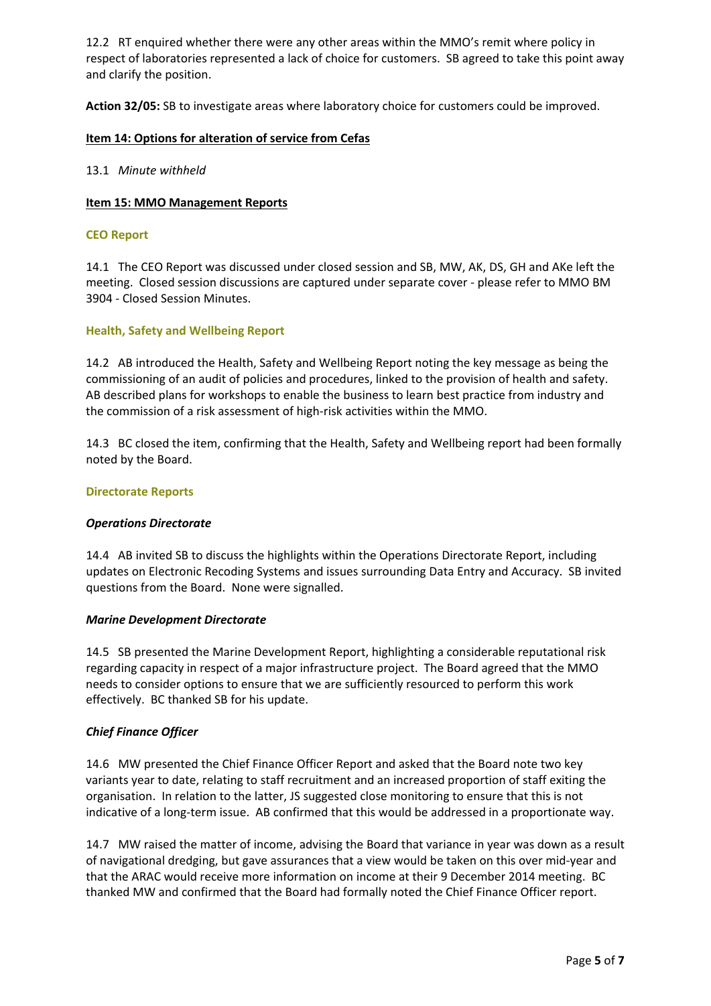12.2 RT enquired whether there were any other areas within the MMO's remit where policy in respect of laboratories represented a lack of choice for customers. SB agreed to take this point away and clarify the position.

**Action 32/05:** SB to investigate areas where laboratory choice for customers could be improved.

## **Item 14: Options for alteration of service from Cefas**

## 13.1 *Minute withheld*

### **Item 15: MMO Management Reports**

#### **CEO Report**

14.1 The CEO Report was discussed under closed session and SB, MW, AK, DS, GH and AKe left the meeting. Closed session discussions are captured under separate cover ‐ please refer to MMO BM 3904 ‐ Closed Session Minutes.

### **Health, Safety and Wellbeing Report**

14.2 AB introduced the Health, Safety and Wellbeing Report noting the key message as being the commissioning of an audit of policies and procedures, linked to the provision of health and safety. AB described plans for workshops to enable the business to learn best practice from industry and the commission of a risk assessment of high‐risk activities within the MMO.

14.3 BC closed the item, confirming that the Health, Safety and Wellbeing report had been formally noted by the Board.

#### **Directorate Reports**

### *Operations Directorate*

14.4 AB invited SB to discuss the highlights within the Operations Directorate Report, including updates on Electronic Recoding Systems and issues surrounding Data Entry and Accuracy. SB invited questions from the Board. None were signalled.

### *Marine Development Directorate*

14.5 SB presented the Marine Development Report, highlighting a considerable reputational risk regarding capacity in respect of a major infrastructure project. The Board agreed that the MMO needs to consider options to ensure that we are sufficiently resourced to perform this work effectively. BC thanked SB for his update.

### *Chief Finance Officer*

14.6 MW presented the Chief Finance Officer Report and asked that the Board note two key variants year to date, relating to staff recruitment and an increased proportion of staff exiting the organisation. In relation to the latter, JS suggested close monitoring to ensure that this is not indicative of a long-term issue. AB confirmed that this would be addressed in a proportionate way.

14.7 MW raised the matter of income, advising the Board that variance in year was down as a result of navigational dredging, but gave assurances that a view would be taken on this over mid‐year and that the ARAC would receive more information on income at their 9 December 2014 meeting. BC thanked MW and confirmed that the Board had formally noted the Chief Finance Officer report.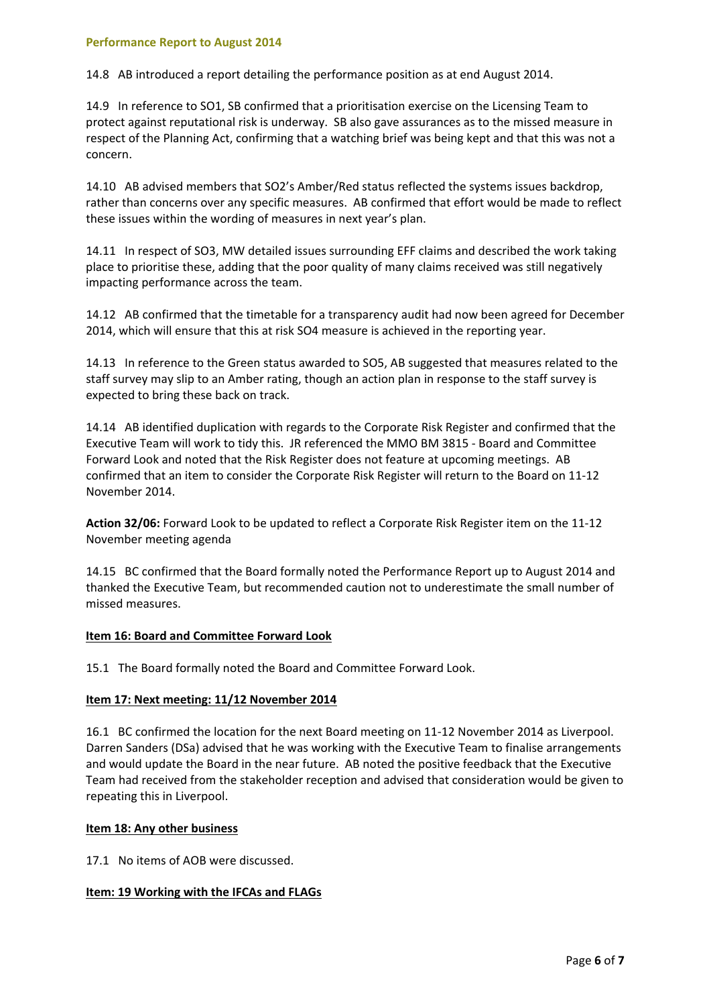#### **Performance Report to August 2014**

14.8 AB introduced a report detailing the performance position as at end August 2014.

14.9 In reference to SO1, SB confirmed that a prioritisation exercise on the Licensing Team to protect against reputational risk is underway. SB also gave assurances as to the missed measure in respect of the Planning Act, confirming that a watching brief was being kept and that this was not a concern.

14.10 AB advised members that SO2's Amber/Red status reflected the systems issues backdrop, rather than concerns over any specific measures. AB confirmed that effort would be made to reflect these issues within the wording of measures in next year's plan.

14.11 In respect of SO3, MW detailed issues surrounding EFF claims and described the work taking place to prioritise these, adding that the poor quality of many claims received was still negatively impacting performance across the team.

14.12 AB confirmed that the timetable for a transparency audit had now been agreed for December 2014, which will ensure that this at risk SO4 measure is achieved in the reporting year.

14.13 In reference to the Green status awarded to SO5, AB suggested that measures related to the staff survey may slip to an Amber rating, though an action plan in response to the staff survey is expected to bring these back on track.

14.14 AB identified duplication with regards to the Corporate Risk Register and confirmed that the Executive Team will work to tidy this. JR referenced the MMO BM 3815 ‐ Board and Committee Forward Look and noted that the Risk Register does not feature at upcoming meetings. AB confirmed that an item to consider the Corporate Risk Register will return to the Board on 11‐12 November 2014.

**Action 32/06:** Forward Look to be updated to reflect a Corporate Risk Register item on the 11‐12 November meeting agenda

14.15 BC confirmed that the Board formally noted the Performance Report up to August 2014 and thanked the Executive Team, but recommended caution not to underestimate the small number of missed measures.

#### **Item 16: Board and Committee Forward Look**

15.1 The Board formally noted the Board and Committee Forward Look.

#### **Item 17: Next meeting: 11/12 November 2014**

16.1 BC confirmed the location for the next Board meeting on 11‐12 November 2014 as Liverpool. Darren Sanders (DSa) advised that he was working with the Executive Team to finalise arrangements and would update the Board in the near future. AB noted the positive feedback that the Executive Team had received from the stakeholder reception and advised that consideration would be given to repeating this in Liverpool.

#### **Item 18: Any other business**

17.1 No items of AOB were discussed.

### **Item: 19 Working with the IFCAs and FLAGs**